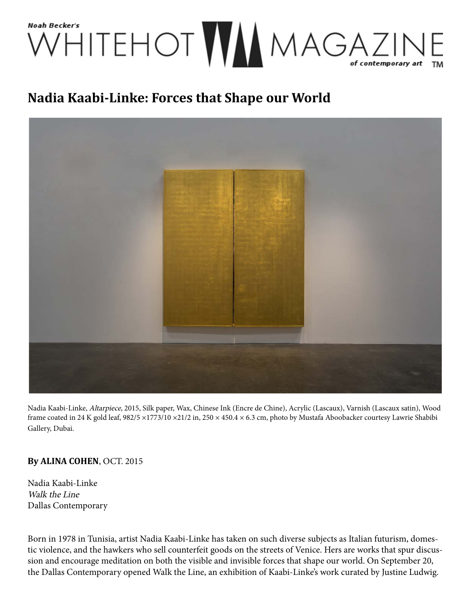

## **Nadia Kaabi-Linke: Forces that Shape our World**



Nadia Kaabi-Linke, Altarpiece, 2015, Silk paper, Wax, Chinese Ink (Encre de Chine), Acrylic (Lascaux), Varnish (Lascaux satin), Wood frame coated in 24 K gold leaf, 982/5 ×1773/10 ×21/2 in, 250 × 450.4 × 6.3 cm, photo by Mustafa Aboobacker courtesy Lawrie Shabibi Gallery, Dubai.

## **By ALINA COHEN**, OCT. 2015

Nadia Kaabi-Linke Walk the Line Dallas Contemporary

Born in 1978 in Tunisia, artist Nadia Kaabi-Linke has taken on such diverse subjects as Italian futurism, domestic violence, and the hawkers who sell counterfeit goods on the streets of Venice. Hers are works that spur discussion and encourage meditation on both the visible and invisible forces that shape our world. On September 20, the Dallas Contemporary opened Walk the Line, an exhibition of Kaabi-Linke's work curated by Justine Ludwig.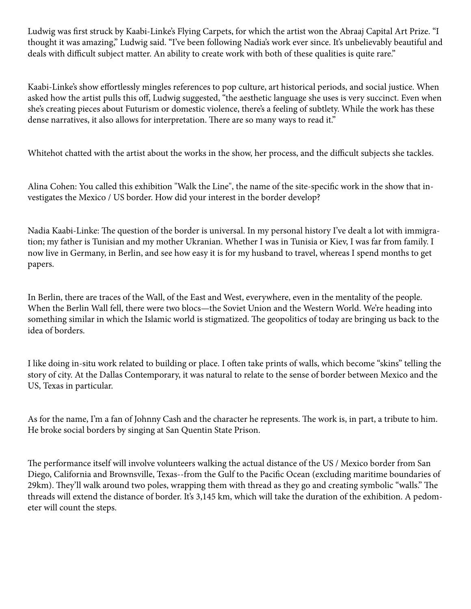Ludwig was first struck by Kaabi-Linke's Flying Carpets, for which the artist won the Abraaj Capital Art Prize. "I thought it was amazing," Ludwig said. "I've been following Nadia's work ever since. It's unbelievably beautiful and deals with difficult subject matter. An ability to create work with both of these qualities is quite rare."

Kaabi-Linke's show effortlessly mingles references to pop culture, art historical periods, and social justice. When asked how the artist pulls this off, Ludwig suggested, "the aesthetic language she uses is very succinct. Even when she's creating pieces about Futurism or domestic violence, there's a feeling of subtlety. While the work has these dense narratives, it also allows for interpretation. There are so many ways to read it."

Whitehot chatted with the artist about the works in the show, her process, and the difficult subjects she tackles.

Alina Cohen: You called this exhibition "Walk the Line", the name of the site-specific work in the show that investigates the Mexico / US border. How did your interest in the border develop?

Nadia Kaabi-Linke: The question of the border is universal. In my personal history I've dealt a lot with immigration; my father is Tunisian and my mother Ukranian. Whether I was in Tunisia or Kiev, I was far from family. I now live in Germany, in Berlin, and see how easy it is for my husband to travel, whereas I spend months to get papers.

In Berlin, there are traces of the Wall, of the East and West, everywhere, even in the mentality of the people. When the Berlin Wall fell, there were two blocs—the Soviet Union and the Western World. We're heading into something similar in which the Islamic world is stigmatized. The geopolitics of today are bringing us back to the idea of borders.

I like doing in-situ work related to building or place. I often take prints of walls, which become "skins" telling the story of city. At the Dallas Contemporary, it was natural to relate to the sense of border between Mexico and the US, Texas in particular.

As for the name, I'm a fan of Johnny Cash and the character he represents. The work is, in part, a tribute to him. He broke social borders by singing at San Quentin State Prison.

The performance itself will involve volunteers walking the actual distance of the US / Mexico border from San Diego, California and Brownsville, Texas--from the Gulf to the Pacific Ocean (excluding maritime boundaries of 29km). They'll walk around two poles, wrapping them with thread as they go and creating symbolic "walls." The threads will extend the distance of border. It's 3,145 km, which will take the duration of the exhibition. A pedometer will count the steps.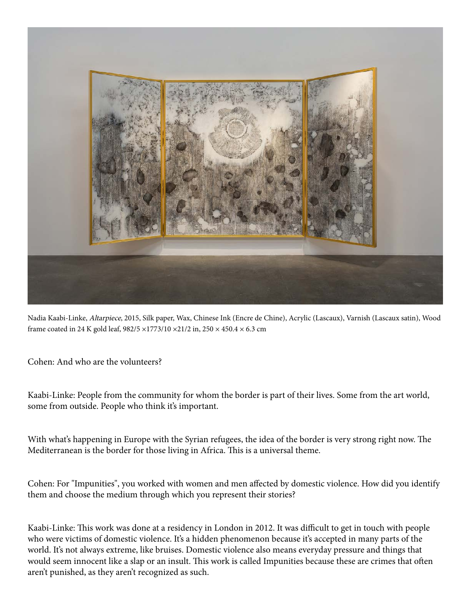

Nadia Kaabi-Linke, Altarpiece, 2015, Silk paper, Wax, Chinese Ink (Encre de Chine), Acrylic (Lascaux), Varnish (Lascaux satin), Wood frame coated in 24 K gold leaf, 982/5 ×1773/10 ×21/2 in, 250 × 450.4 × 6.3 cm

Cohen: And who are the volunteers?

Kaabi-Linke: People from the community for whom the border is part of their lives. Some from the art world, some from outside. People who think it's important.

With what's happening in Europe with the Syrian refugees, the idea of the border is very strong right now. The Mediterranean is the border for those living in Africa. This is a universal theme.

Cohen: For "Impunities", you worked with women and men affected by domestic violence. How did you identify them and choose the medium through which you represent their stories?

Kaabi-Linke: This work was done at a residency in London in 2012. It was difficult to get in touch with people who were victims of domestic violence. It's a hidden phenomenon because it's accepted in many parts of the world. It's not always extreme, like bruises. Domestic violence also means everyday pressure and things that would seem innocent like a slap or an insult. This work is called Impunities because these are crimes that often aren't punished, as they aren't recognized as such.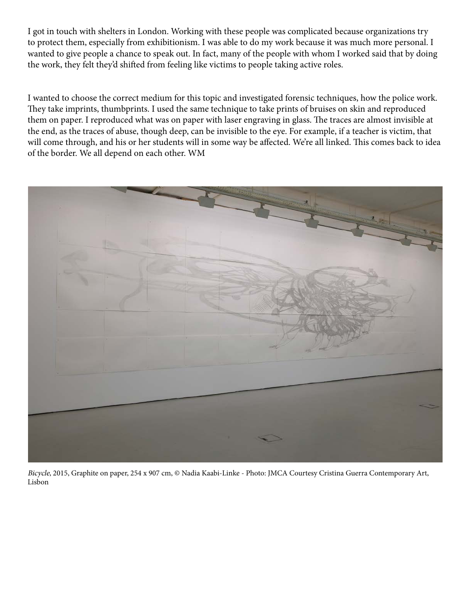I got in touch with shelters in London. Working with these people was complicated because organizations try to protect them, especially from exhibitionism. I was able to do my work because it was much more personal. I wanted to give people a chance to speak out. In fact, many of the people with whom I worked said that by doing the work, they felt they'd shifted from feeling like victims to people taking active roles.

I wanted to choose the correct medium for this topic and investigated forensic techniques, how the police work. They take imprints, thumbprints. I used the same technique to take prints of bruises on skin and reproduced them on paper. I reproduced what was on paper with laser engraving in glass. The traces are almost invisible at the end, as the traces of abuse, though deep, can be invisible to the eye. For example, if a teacher is victim, that will come through, and his or her students will in some way be affected. We're all linked. This comes back to idea of the border. We all depend on each other. WM



Bicycle, 2015, Graphite on paper, 254 x 907 cm, © Nadia Kaabi-Linke - Photo: JMCA Courtesy Cristina Guerra Contemporary Art, Lisbon